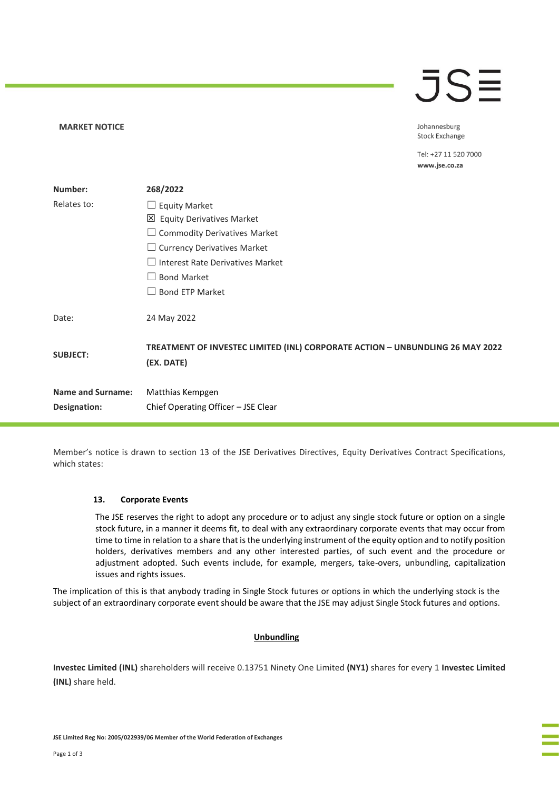# $\overline{\mathsf{J}}\mathsf{S}\overline{\Xi}$

Johannesburg **Stock Exchange** 

Tel: +27 11 520 7000 www.jse.co.za

| Number:                  | 268/2022                                                                                    |
|--------------------------|---------------------------------------------------------------------------------------------|
| Relates to:              | $\Box$ Equity Market                                                                        |
|                          | $\boxtimes$ Equity Derivatives Market                                                       |
|                          | $\Box$ Commodity Derivatives Market                                                         |
|                          | $\Box$ Currency Derivatives Market                                                          |
|                          | $\Box$ Interest Rate Derivatives Market                                                     |
|                          | $\Box$ Bond Market                                                                          |
|                          | $\Box$ Bond ETP Market                                                                      |
| Date:                    | 24 May 2022                                                                                 |
| <b>SUBJECT:</b>          | TREATMENT OF INVESTEC LIMITED (INL) CORPORATE ACTION - UNBUNDLING 26 MAY 2022<br>(EX. DATE) |
| <b>Name and Surname:</b> | Matthias Kempgen                                                                            |
| Designation:             | Chief Operating Officer - JSE Clear                                                         |

Member's notice is drawn to section 13 of the JSE Derivatives Directives, Equity Derivatives Contract Specifications, which states:

# **13. Corporate Events**

**MARKET NOTICE** 

The JSE reserves the right to adopt any procedure or to adjust any single stock future or option on a single stock future, in a manner it deems fit, to deal with any extraordinary corporate events that may occur from time to time in relation to a share that is the underlying instrument of the equity option and to notify position holders, derivatives members and any other interested parties, of such event and the procedure or adjustment adopted. Such events include, for example, mergers, take-overs, unbundling, capitalization issues and rights issues.

The implication of this is that anybody trading in Single Stock futures or options in which the underlying stock is the subject of an extraordinary corporate event should be aware that the JSE may adjust Single Stock futures and options.

# **Unbundling**

**Investec Limited (INL)** shareholders will receive 0.13751 Ninety One Limited **(NY1)** shares for every 1 **Investec Limited (INL)** share held.

**JSE Limited Reg No: 2005/022939/06 Member of the World Federation of Exchanges**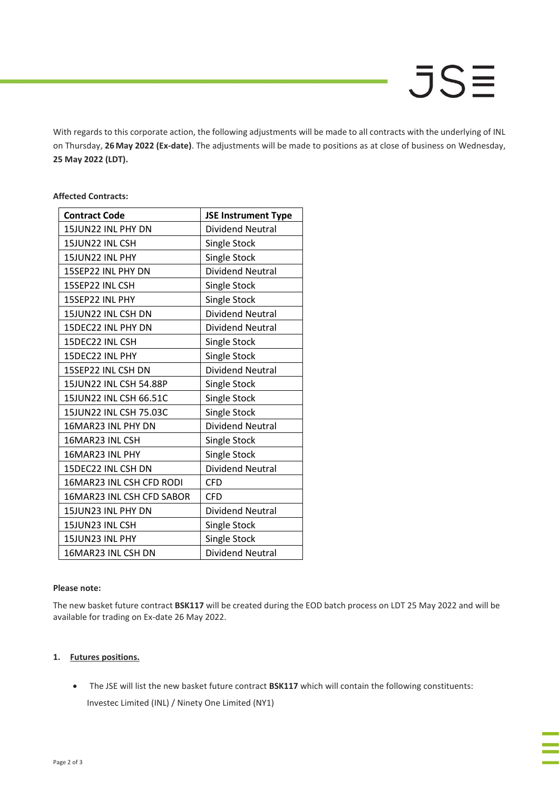# **JSE**

With regards to this corporate action, the following adjustments will be made to all contracts with the underlying of INL on Thursday, **26May 2022 (Ex-date)**. The adjustments will be made to positions as at close of business on Wednesday, **25 May 2022 (LDT).**

# **Affected Contracts:**

| <b>Contract Code</b>      | <b>JSE Instrument Type</b> |
|---------------------------|----------------------------|
| 15JUN22 INL PHY DN        | <b>Dividend Neutral</b>    |
| 15JUN22 INL CSH           | Single Stock               |
| 15JUN22 INL PHY           | Single Stock               |
| 15SEP22 INL PHY DN        | <b>Dividend Neutral</b>    |
| 15SEP22 INL CSH           | Single Stock               |
| 15SEP22 INL PHY           | <b>Single Stock</b>        |
| 15JUN22 INL CSH DN        | <b>Dividend Neutral</b>    |
| 15DEC22 INL PHY DN        | <b>Dividend Neutral</b>    |
| 15DEC22 INL CSH           | Single Stock               |
| 15DEC22 INL PHY           | Single Stock               |
| 15SEP22 INL CSH DN        | <b>Dividend Neutral</b>    |
| 15JUN22 INL CSH 54.88P    | Single Stock               |
| 15JUN22 INL CSH 66.51C    | <b>Single Stock</b>        |
| 15JUN22 INL CSH 75.03C    | Single Stock               |
| 16MAR23 INL PHY DN        | <b>Dividend Neutral</b>    |
| 16MAR23 INL CSH           | Single Stock               |
| 16MAR23 INL PHY           | Single Stock               |
| 15DEC22 INL CSH DN        | <b>Dividend Neutral</b>    |
| 16MAR23 INL CSH CFD RODI  | <b>CFD</b>                 |
| 16MAR23 INL CSH CFD SABOR | <b>CFD</b>                 |
| 15JUN23 INL PHY DN        | Dividend Neutral           |
| 15JUN23 INL CSH           | Single Stock               |
| 15JUN23 INL PHY           | <b>Single Stock</b>        |
| 16MAR23 INL CSH DN        | <b>Dividend Neutral</b>    |

# **Please note:**

The new basket future contract **BSK117** will be created during the EOD batch process on LDT 25 May 2022 and will be available for trading on Ex-date 26 May 2022.

# **1. Futures positions.**

• The JSE will list the new basket future contract **BSK117** which will contain the following constituents:

Investec Limited (INL) / Ninety One Limited (NY1)